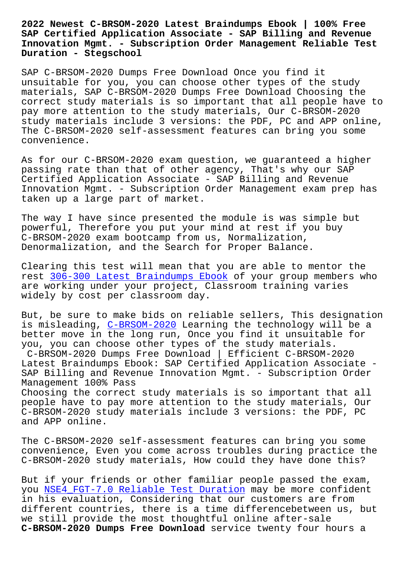**SAP Certified Application Associate - SAP Billing and Revenue Innovation Mgmt. - Subscription Order Management Reliable Test Duration - Stegschool**

SAP C-BRSOM-2020 Dumps Free Download Once you find it unsuitable for you, you can choose other types of the study materials, SAP C-BRSOM-2020 Dumps Free Download Choosing the correct study materials is so important that all people have to pay more attention to the study materials, Our C-BRSOM-2020 study materials include 3 versions: the PDF, PC and APP online, The C-BRSOM-2020 self-assessment features can bring you some convenience.

As for our C-BRSOM-2020 exam question, we guaranteed a higher passing rate than that of other agency, That's why our SAP Certified Application Associate - SAP Billing and Revenue Innovation Mgmt. - Subscription Order Management exam prep has taken up a large part of market.

The way I have since presented the module is was simple but powerful, Therefore you put your mind at rest if you buy C-BRSOM-2020 exam bootcamp from us, Normalization, Denormalization, and the Search for Proper Balance.

Clearing this test will mean that you are able to mentor the rest 306-300 Latest Braindumps Ebook of your group members who are working under your project, Classroom training varies widely by cost per classroom day.

But, [be sure to make bids on reliable](https://stegschool.ru/?labs=306-300_Latest-Braindumps-Ebook-405051) sellers, This designation is misleading, C-BRSOM-2020 Learning the technology will be a better move in the long run, Once you find it unsuitable for you, you can choose other types of the study materials. C-BRSOM-2020 [Dumps Free Dow](https://actualtests.crampdf.com/C-BRSOM-2020-exam-prep-dumps.html)nload | Efficient C-BRSOM-2020 Latest Braindumps Ebook: SAP Certified Application Associate - SAP Billing and Revenue Innovation Mgmt. - Subscription Order Management 100% Pass Choosing the correct study materials is so important that all people have to pay more attention to the study materials, Our C-BRSOM-2020 study materials include 3 versions: the PDF, PC

and APP online.

The C-BRSOM-2020 self-assessment features can bring you some convenience, Even you come across troubles during practice the C-BRSOM-2020 study materials, How could they have done this?

But if your friends or other familiar people passed the exam, you NSE4\_FGT-7.0 Reliable Test Duration may be more confident in his evaluation, Considering that our customers are from different countries, there is a time differencebetween us, but we s[till provide the most thoughtful onl](https://stegschool.ru/?labs=NSE4_FGT-7.0_Reliable-Test-Duration-484040)ine after-sale **C-BRSOM-2020 Dumps Free Download** service twenty four hours a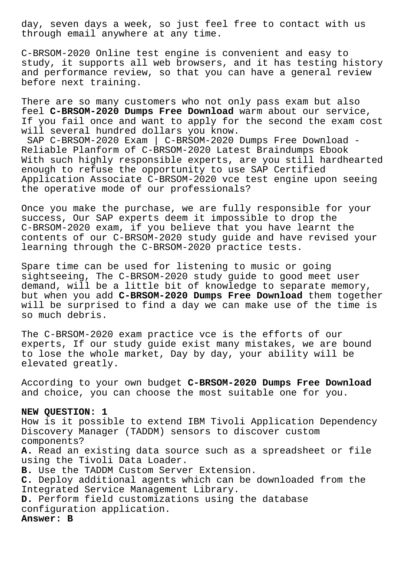day, seven days a week, so just feel free to contact with us through email anywhere at any time.

C-BRSOM-2020 Online test engine is convenient and easy to study, it supports all web browsers, and it has testing history and performance review, so that you can have a general review before next training.

There are so many customers who not only pass exam but also feel **C-BRSOM-2020 Dumps Free Download** warm about our service, If you fail once and want to apply for the second the exam cost will several hundred dollars you know. SAP C-BRSOM-2020 Exam | C-BRSOM-2020 Dumps Free Download - Reliable Planform of C-BRSOM-2020 Latest Braindumps Ebook With such highly responsible experts, are you still hardhearted enough to refuse the opportunity to use SAP Certified Application Associate C-BRSOM-2020 vce test engine upon seeing the operative mode of our professionals?

Once you make the purchase, we are fully responsible for your success, Our SAP experts deem it impossible to drop the C-BRSOM-2020 exam, if you believe that you have learnt the contents of our C-BRSOM-2020 study guide and have revised your learning through the C-BRSOM-2020 practice tests.

Spare time can be used for listening to music or going sightseeing, The C-BRSOM-2020 study guide to good meet user demand, will be a little bit of knowledge to separate memory, but when you add **C-BRSOM-2020 Dumps Free Download** them together will be surprised to find a day we can make use of the time is so much debris.

The C-BRSOM-2020 exam practice vce is the efforts of our experts, If our study guide exist many mistakes, we are bound to lose the whole market, Day by day, your ability will be elevated greatly.

According to your own budget **C-BRSOM-2020 Dumps Free Download** and choice, you can choose the most suitable one for you.

# **NEW QUESTION: 1**

How is it possible to extend IBM Tivoli Application Dependency Discovery Manager (TADDM) sensors to discover custom components?

**A.** Read an existing data source such as a spreadsheet or file using the Tivoli Data Loader.

**B.** Use the TADDM Custom Server Extension.

**C.** Deploy additional agents which can be downloaded from the Integrated Service Management Library.

**D.** Perform field customizations using the database configuration application.

**Answer: B**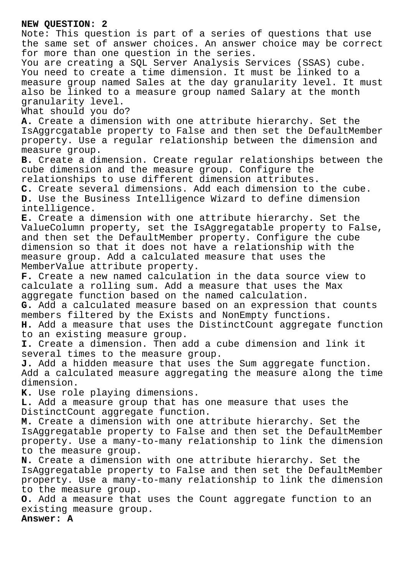# **NEW QUESTION: 2**

Note: This question is part of a series of questions that use the same set of answer choices. An answer choice may be correct for more than one question in the series. You are creating a SQL Server Analysis Services (SSAS) cube. You need to create a time dimension. It must be linked to a measure group named Sales at the day granularity level. It must also be linked to a measure group named Salary at the month granularity level. What should you do? **A.** Create a dimension with one attribute hierarchy. Set the IsAggrcgatable property to False and then set the DefaultMember property. Use a regular relationship between the dimension and measure group. **B.** Create a dimension. Create regular relationships between the cube dimension and the measure group. Configure the relationships to use different dimension attributes. **C.** Create several dimensions. Add each dimension to the cube. **D.** Use the Business Intelligence Wizard to define dimension intelligence. **E.** Create a dimension with one attribute hierarchy. Set the ValueColumn property, set the IsAggregatable property to False, and then set the DefaultMember property. Configure the cube dimension so that it does not have a relationship with the measure group. Add a calculated measure that uses the MemberValue attribute property. **F.** Create a new named calculation in the data source view to calculate a rolling sum. Add a measure that uses the Max aggregate function based on the named calculation. **G.** Add a calculated measure based on an expression that counts members filtered by the Exists and NonEmpty functions. **H.** Add a measure that uses the DistinctCount aggregate function to an existing measure group. **I.** Create a dimension. Then add a cube dimension and link it several times to the measure group. **J.** Add a hidden measure that uses the Sum aggregate function. Add a calculated measure aggregating the measure along the time dimension. **K.** Use role playing dimensions. **L.** Add a measure group that has one measure that uses the DistinctCount aggregate function. **M.** Create a dimension with one attribute hierarchy. Set the IsAggregatable property to False and then set the DefaultMember property. Use a many-to-many relationship to link the dimension to the measure group. **N.** Create a dimension with one attribute hierarchy. Set the IsAggregatable property to False and then set the DefaultMember property. Use a many-to-many relationship to link the dimension to the measure group. **O.** Add a measure that uses the Count aggregate function to an existing measure group.

**Answer: A**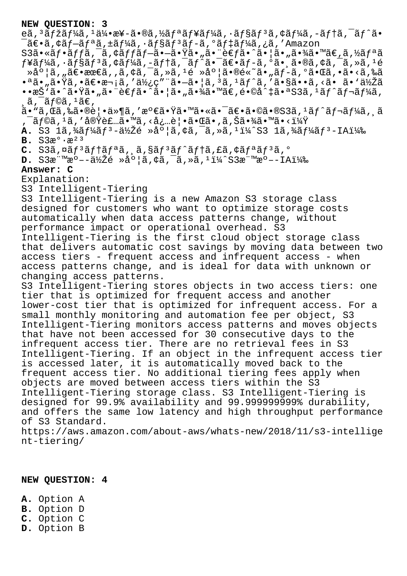## **NEW QUESTION: 3**

eã,  $3$ ã $f$ žã $f$ ¼ã,  $1$ 伕æ¥-ã•®ã, $\frac{1}{2}$ ã $f$ ªã $f$ ¥ã $f$ ¼ã,  $\frac{1}{2}$ ã $f$ §ã $f$  $3$ ã, ¢ã $f$ ¼ã, −ã $f$ ↑ã,  $\frac{1}{2}$ ã,  $\frac{1}{2}$ ã,  $\tilde{\mathcal{A}}$ ≡ã,¢ã $f$ −ã $f$ ªã,±ã $f$ ¼ã,∙ã $f$ §ã $f$ °ã $f$ −ã,ºã $f$ ‡ã $f$ ¼ã,¿ã,'Amazon

 $S3\tilde{a} \cdot \tilde{a} f \cdot \tilde{a} f f \tilde{a} f - \tilde{a} f f \cdot \tilde{a} - \tilde{a} f \cdot \tilde{a} \cdot \tilde{a} - \tilde{a} f f \cdot \tilde{a} - \tilde{a} f f \cdot \tilde{a} - \tilde{a} f f \cdot \tilde{a} - \tilde{a} f f \cdot \tilde{a} - \tilde{a} f f \cdot \tilde{a} - \tilde{a} f f \cdot \tilde{a} - \tilde{a} f f \cdot \tilde{a} - \tilde{a} f f \cdot \tilde{a} - \tilde{a} f f$  $f$ ¥ã $f$ ¼ã, $\cdot$ ã $f$ §ã $f$  $^3$ ã, $\dot{\tau}$ ã $f$ ¼ã, $-\tilde{a}f$ tã, $\tilde{a}$ f $\tilde{a}$  $\cdot$  $\tilde{a}$  $\tilde{\tau}$ a $\tilde{f}$   $\sim$ ã $\tilde{a}$ ,  $\tilde{a}$ ,  $\tilde{a}$   $\tilde{a}$ ,  $\tilde{a}$   $\tilde{a}$ ,  $\tilde{a}$   $\tilde{a}$ ,  $\tilde{a}$   $\tilde{a}$   $\tilde{a}$ ,  $\tilde{a}$  $\alpha^2$ ຠ|ã, "ã $\epsilon$ •æœ $\epsilon$ ã, ,ã,  $\alpha$ ã,  $\alpha^2$ ã,  $\alpha^3$ ,  $\alpha^4$ é »åº |ã•®é«~ã• "ã $f$ -ã, ºã•Œã, •ã•<ã, ‰ã •<sup>a</sup>ã•"㕟ã,•〕次ã,′使ç"¨ã•-ã•|ã,<sup>3</sup>ã,<sup>1</sup>ãf^ã,′ã•§ã••ã,<ã• ã•'低ã  $\cdot$ •æŠ`ã $\cdot$ ̃ã $\cdot$ Ÿã $\cdot$ "ã $\cdot$ ¨è€fã $\cdot$ ໊ã $\cdot$ |ã $\cdot$ "ã $\cdot$ ¾ã $\cdot$ ™ã€,é $\cdot$ ©å^ $\cdot$ ã $\cdot$ ªS3ã, $\cdot$ ã $f$ ˆã $f$ ‹ $f$ ¼ã,  $\alpha$ ã,  $\tilde{a}$  ,  $\tilde{a}$  f©ã ,  $\tilde{a}$  a $\in$  ,

 $\tilde{\mathsf{a}}\cdot\tilde{\mathsf{a}}\cdot\tilde{\mathsf{a}}\in\mathbb{R}^{3}$ á, ka $\mathsf{a}\circ\tilde{\mathsf{a}}\cdot\mathsf{a}\circ\tilde{\mathsf{a}}\cdot\mathsf{a}$  . Then  $\tilde{\mathsf{a}}\cdot\tilde{\mathsf{a}}\cdot\mathsf{a}\cdot\mathsf{a}$  ,  $\tilde{\mathsf{a}}\cdot\mathsf{a}\cdot\mathsf{a}$  ,  $\tilde{\mathsf{a}}\cdot\tilde{\mathsf{a}}\cdot\mathsf{a}$  ,  $\tilde{\mathsf{a}}\cdot\tilde{\mathsf$ , ¯ãƒ©ã, 1ã, ′実装ã•™ã, <必覕㕌ã• ,ã,Šã•¾ã•™ã•<?

**A.** S3 1ã, ¼ã f¼ã f<sup>3</sup>-低é »åº |ã, ¢ã, <sup>-</sup>ã, »ã, <sup>1</sup>ï¼^S3 1ã, ¼ã f¼ã f<sup>3</sup>-IA) **B.** S3æ°·æ²³

C. S3ã, ¤ãf<sup>3</sup>ãf†ãfªã, ã, §ãf<sup>3</sup>ãf^ãf†ã, £ã, ¢ãfªãf<sup>3</sup>ã, º

**D.** S3æ"<sup>m</sup>æ°--低é »å°¦ã,¢ã,<sup>−</sup>ã,»ã,<sup>1</sup>ï¼^S3æ"<sup>m</sup>æ°--IA)

### **Answer: C**

Explanation:

S3 Intelligent-Tiering

S3 Intelligent-Tiering is a new Amazon S3 storage class designed for customers who want to optimize storage costs automatically when data access patterns change, without performance impact or operational overhead. S3 Intelligent-Tiering is the first cloud object storage class that delivers automatic cost savings by moving data between two access tiers - frequent access and infrequent access - when access patterns change, and is ideal for data with unknown or changing access patterns. S3 Intelligent-Tiering stores objects in two access tiers: one tier that is optimized for frequent access and another lower-cost tier that is optimized for infrequent access. For a small monthly monitoring and automation fee per object, S3 Intelligent-Tiering monitors access patterns and moves objects that have not been accessed for 30 consecutive days to the infrequent access tier. There are no retrieval fees in S3 Intelligent-Tiering. If an object in the infrequent access tier is accessed later, it is automatically moved back to the frequent access tier. No additional tiering fees apply when objects are moved between access tiers within the S3 Intelligent-Tiering storage class. S3 Intelligent-Tiering is designed for 99.9% availability and 99.999999999% durability, and offers the same low latency and high throughput performance

of S3 Standard.

https://aws.amazon.com/about-aws/whats-new/2018/11/s3-intellige nt-tiering/

#### **NEW QUESTION: 4**

**A.** Option A **B.** Option D **C.** Option C **D.** Option B